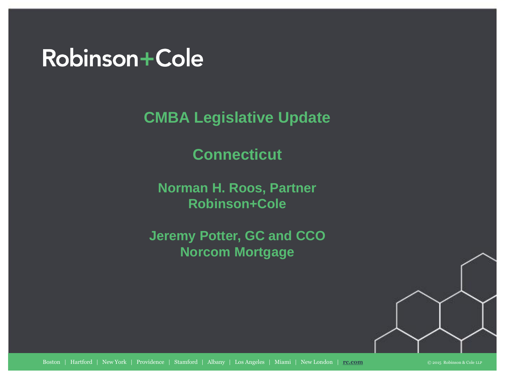## Robinson+Cole

**CMBA Legislative Update**

**Connecticut**

**Norman H. Roos, Partner Robinson+Cole**

**Jeremy Potter, GC and CCO Norcom Mortgage**

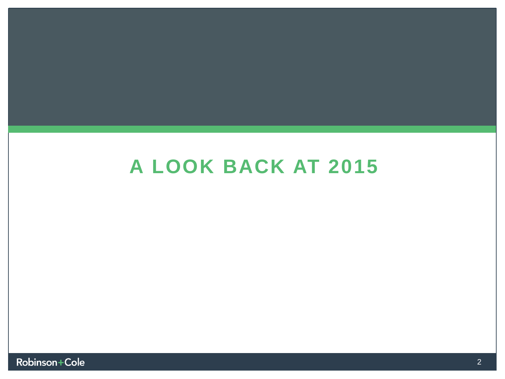## **A LOOK BACK AT 2015**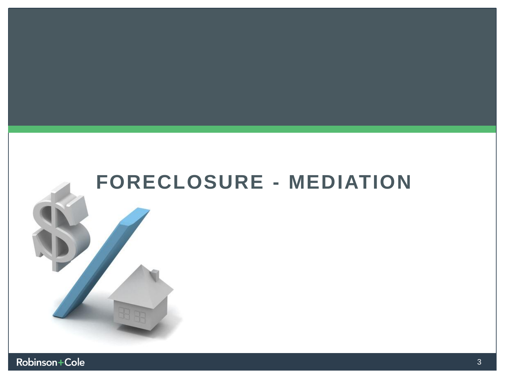

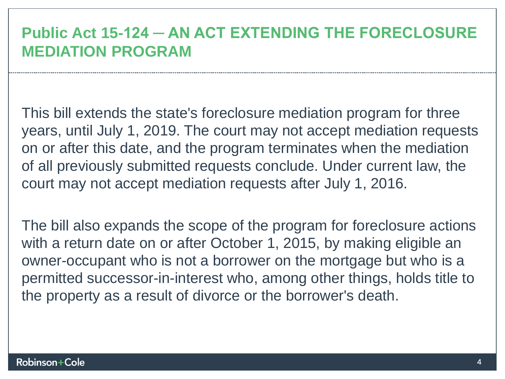### **Public Act 15-124 ─ AN ACT EXTENDING THE FORECLOSURE MEDIATION PROGRAM**

This bill extends the state's foreclosure mediation program for three years, until July 1, 2019. The court may not accept mediation requests on or after this date, and the program terminates when the mediation of all previously submitted requests conclude. Under current law, the court may not accept mediation requests after July 1, 2016.

The bill also expands the scope of the program for foreclosure actions with a return date on or after October 1, 2015, by making eligible an owner-occupant who is not a borrower on the mortgage but who is a permitted successor-in-interest who, among other things, holds title to the property as a result of divorce or the borrower's death.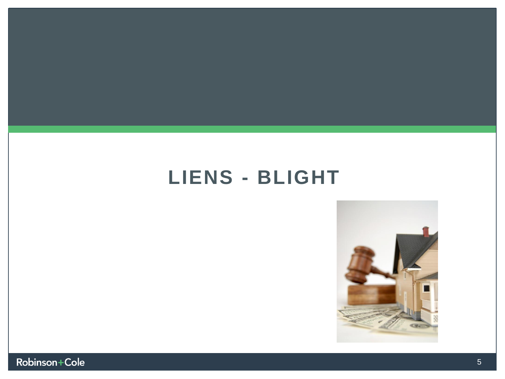## **LIENS - BLIGHT**



Robinson+Cole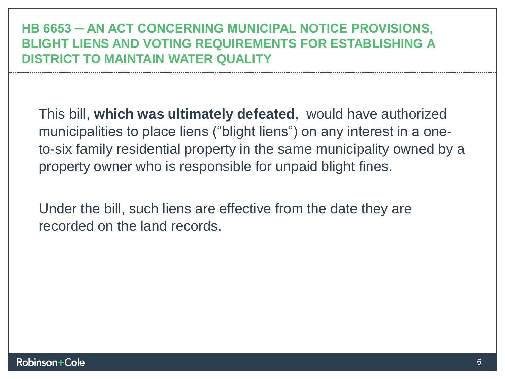#### **HB 6653 ─ AN ACT CONCERNING MUNICIPAL NOTICE PROVISIONS, BLIGHT LIENS AND VOTING REQUIREMENTS FOR ESTABLISHING A DISTRICT TO MAINTAIN WATER QUALITY**

This bill, **which was ultimately defeated**, would have authorized municipalities to place liens ("blight liens") on any interest in a oneto-six family residential property in the same municipality owned by a property owner who is responsible for unpaid blight fines.

Under the bill, such liens are effective from the date they are recorded on the land records.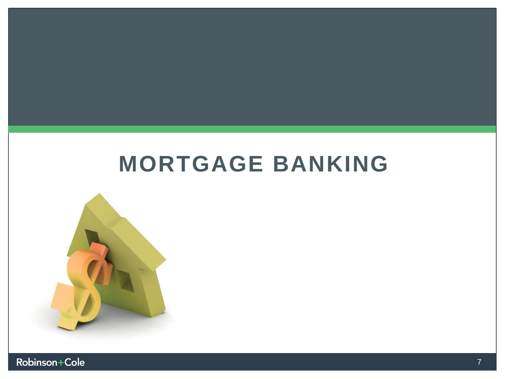# **MORTGAGE BANKING**



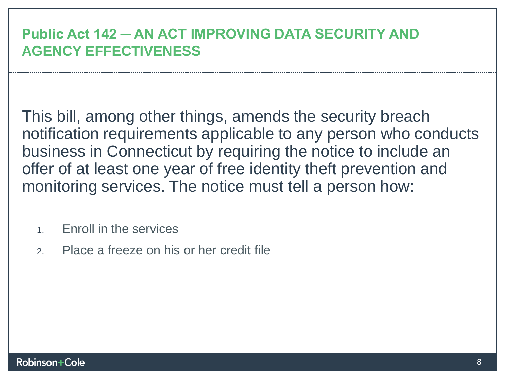#### **Public Act 142 ─ AN ACT IMPROVING DATA SECURITY AND AGENCY EFFECTIVENESS**

This bill, among other things, amends the security breach notification requirements applicable to any person who conducts business in Connecticut by requiring the notice to include an offer of at least one year of free identity theft prevention and monitoring services. The notice must tell a person how:

- 1. Enroll in the services
- 2. Place a freeze on his or her credit file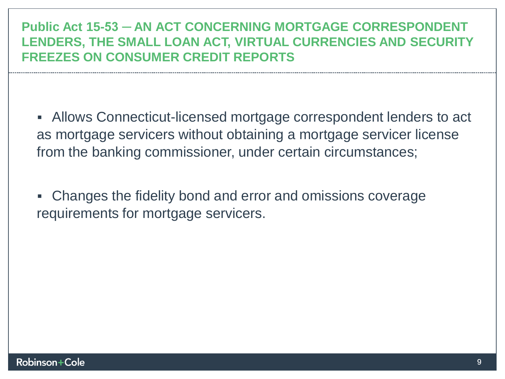**Public Act 15-53 ─ AN ACT CONCERNING MORTGAGE CORRESPONDENT LENDERS, THE SMALL LOAN ACT, VIRTUAL CURRENCIES AND SECURITY FREEZES ON CONSUMER CREDIT REPORTS**

 Allows Connecticut-licensed mortgage correspondent lenders to act as mortgage servicers without obtaining a mortgage servicer license from the banking commissioner, under certain circumstances;

 Changes the fidelity bond and error and omissions coverage requirements for mortgage servicers.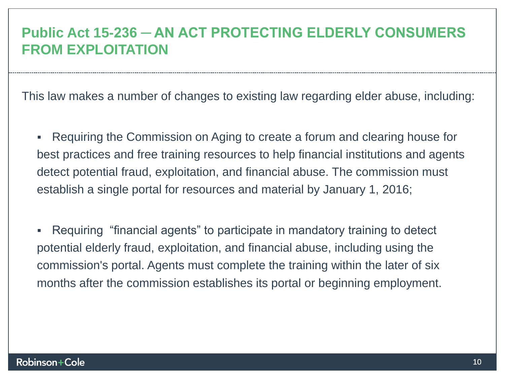#### **Public Act 15-236 ─ AN ACT PROTECTING ELDERLY CONSUMERS FROM EXPLOITATION**

This law makes a number of changes to existing law regarding elder abuse, including:

 Requiring the Commission on Aging to create a forum and clearing house for best practices and free training resources to help financial institutions and agents detect potential fraud, exploitation, and financial abuse. The commission must establish a single portal for resources and material by January 1, 2016;

 Requiring "financial agents" to participate in mandatory training to detect potential elderly fraud, exploitation, and financial abuse, including using the commission's portal. Agents must complete the training within the later of six months after the commission establishes its portal or beginning employment.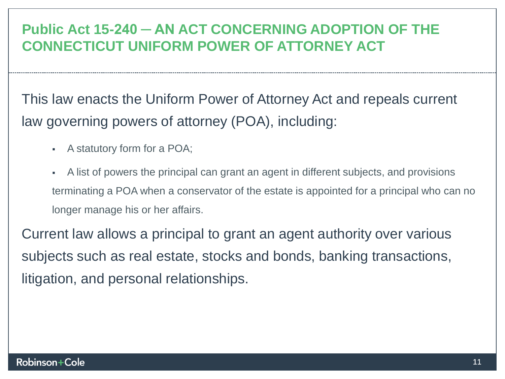#### **Public Act 15-240 ─ AN ACT CONCERNING ADOPTION OF THE CONNECTICUT UNIFORM POWER OF ATTORNEY ACT**

This law enacts the Uniform Power of Attorney Act and repeals current law governing powers of attorney (POA), including:

- A statutory form for a POA;
- A list of powers the principal can grant an agent in different subjects, and provisions terminating a POA when a conservator of the estate is appointed for a principal who can no longer manage his or her affairs.

Current law allows a principal to grant an agent authority over various subjects such as real estate, stocks and bonds, banking transactions, litigation, and personal relationships.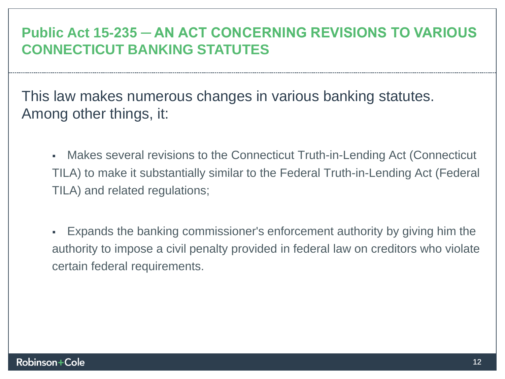#### **Public Act 15-235 ─ AN ACT CONCERNING REVISIONS TO VARIOUS CONNECTICUT BANKING STATUTES**

This law makes numerous changes in various banking statutes. Among other things, it:

- Makes several revisions to the Connecticut Truth-in-Lending Act (Connecticut TILA) to make it substantially similar to the Federal Truth-in-Lending Act (Federal TILA) and related regulations;
- Expands the banking commissioner's enforcement authority by giving him the authority to impose a civil penalty provided in federal law on creditors who violate certain federal requirements.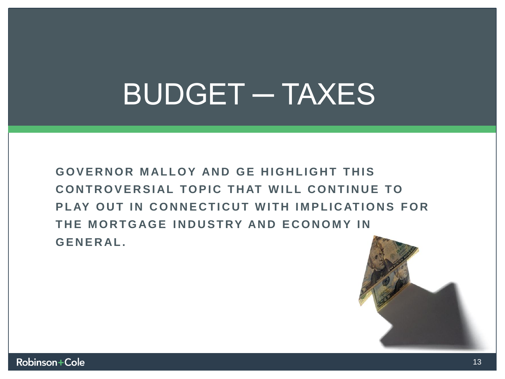# BUDGET ─ TAXES

**GOVERNOR MALLOY AND GE HIGHLIGHT THIS** CONTROVERSIAL TOPIC THAT WILL CONTINUE TO **PLAY OUT IN CONNECTICUT WITH IMPLICATIONS FOR THE MORTGAGE INDUSTRY AND ECONOMY IN G E N E R AL .**

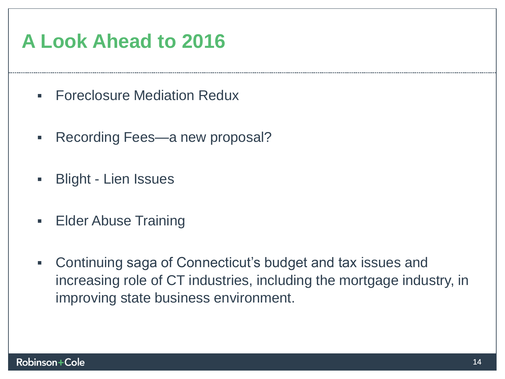## **A Look Ahead to 2016**

- **Foreclosure Mediation Redux**
- **Recording Fees—a new proposal?**
- **Blight Lien Issues**
- **Elder Abuse Training**
- Continuing saga of Connecticut's budget and tax issues and increasing role of CT industries, including the mortgage industry, in improving state business environment.